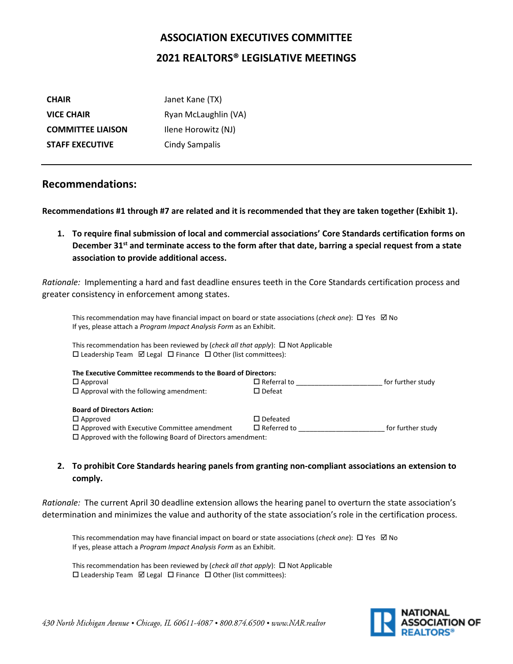# **ASSOCIATION EXECUTIVES COMMITTEE 2021 REALTORS® LEGISLATIVE MEETINGS**

| <b>CHAIR</b>             | Janet Kane (TX)       |
|--------------------------|-----------------------|
| <b>VICE CHAIR</b>        | Ryan McLaughlin (VA)  |
| <b>COMMITTEE LIAISON</b> | Ilene Horowitz (NJ)   |
| <b>STAFF EXECUTIVE</b>   | <b>Cindy Sampalis</b> |

# **Recommendations:**

**Recommendations #1 through #7 are related and it is recommended that they are taken together (Exhibit 1).**

**1. To require final submission of local and commercial associations' Core Standards certification forms on December 31st and terminate access to the form after that date, barring a special request from a state association to provide additional access.** 

*Rationale:* Implementing a hard and fast deadline ensures teeth in the Core Standards certification process and greater consistency in enforcement among states.

This recommendation may have financial impact on board or state associations (*check one*): □ Yes □ No If yes, please attach a *Program Impact Analysis Form* as an Exhibit.

This recommendation has been reviewed by (*check all that apply*):  $\Box$  Not Applicable  $\square$  Leadership Team  $\square$  Legal  $\square$  Finance  $\square$  Other (list committees):

| The Executive Committee recommends to the Board of Directors:    |                    |                   |
|------------------------------------------------------------------|--------------------|-------------------|
| $\Box$ Approval                                                  | $\Box$ Referral to | for further study |
| $\Box$ Approval with the following amendment:                    | $\square$ Defeat   |                   |
| <b>Board of Directors Action:</b>                                |                    |                   |
| $\Box$ Approved                                                  | $\square$ Defeated |                   |
| $\Box$ Approved with Executive Committee amendment               | $\Box$ Referred to | for further study |
| $\Box$ Approved with the following Board of Directors amendment: |                    |                   |

# **2. To prohibit Core Standards hearing panels from granting non-compliant associations an extension to comply.**

*Rationale:* The current April 30 deadline extension allows the hearing panel to overturn the state association's determination and minimizes the value and authority of the state association's role in the certification process.

This recommendation may have financial impact on board or state associations (*check one*):  $\Box$  Yes  $\Box$  No If yes, please attach a *Program Impact Analysis Form* as an Exhibit.

This recommendation has been reviewed by (*check all that apply*):  $\Box$  Not Applicable  $\square$  Leadership Team  $\square$  Legal  $\square$  Finance  $\square$  Other (list committees):

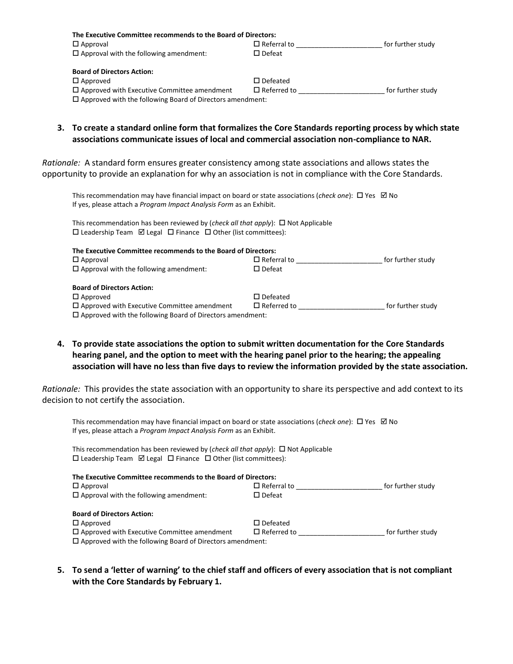| The Executive Committee recommends to the Board of Directors:    |                    |                   |
|------------------------------------------------------------------|--------------------|-------------------|
| $\Box$ Approval                                                  | $\Box$ Referral to | for further study |
| $\Box$ Approval with the following amendment:                    | $\square$ Defeat   |                   |
| <b>Board of Directors Action:</b>                                |                    |                   |
| $\Box$ Approved                                                  | $\square$ Defeated |                   |
| $\Box$ Approved with Executive Committee amendment               | $\Box$ Referred to | for further study |
| $\Box$ Approved with the following Board of Directors amendment: |                    |                   |

**3. To create a standard online form that formalizes the Core Standards reporting process by which state associations communicate issues of local and commercial association non-compliance to NAR.**

*Rationale:* A standard form ensures greater consistency among state associations and allows states the opportunity to provide an explanation for why an association is not in compliance with the Core Standards.

This recommendation may have financial impact on board or state associations (*check one*):  $\Box$  Yes  $\Box$  No If yes, please attach a *Program Impact Analysis Form* as an Exhibit.

This recommendation has been reviewed by (*check all that apply*):  $\Box$  Not Applicable  $\square$  Leadership Team  $\square$  Legal  $\square$  Finance  $\square$  Other (list committees):

| The Executive Committee recommends to the Board of Directors:    |                    |                   |
|------------------------------------------------------------------|--------------------|-------------------|
| $\Box$ Approval                                                  | $\Box$ Referral to | for further study |
| $\Box$ Approval with the following amendment:                    | $\square$ Defeat   |                   |
| <b>Board of Directors Action:</b>                                |                    |                   |
| $\Box$ Approved                                                  | $\square$ Defeated |                   |
| $\Box$ Approved with Executive Committee amendment               | $\Box$ Referred to | for further study |
| $\Box$ Approved with the following Board of Directors amendment: |                    |                   |

**4. To provide state associations the option to submit written documentation for the Core Standards hearing panel, and the option to meet with the hearing panel prior to the hearing; the appealing association will have no less than five days to review the information provided by the state association.**

*Rationale:* This provides the state association with an opportunity to share its perspective and add context to its decision to not certify the association.

This recommendation may have financial impact on board or state associations (*check one*): □ Yes **Ø No** If yes, please attach a *Program Impact Analysis Form* as an Exhibit.

This recommendation has been reviewed by (*check all that apply*):  $\Box$  Not Applicable  $\square$  Leadership Team  $\square$  Legal  $\square$  Finance  $\square$  Other (list committees):

| The Executive Committee recommends to the Board of Directors:    |                    |                   |
|------------------------------------------------------------------|--------------------|-------------------|
| $\Box$ Approval                                                  | $\Box$ Referral to | for further study |
| $\Box$ Approval with the following amendment:                    | $\square$ Defeat   |                   |
| <b>Board of Directors Action:</b>                                |                    |                   |
| $\Box$ Approved                                                  | $\square$ Defeated |                   |
| $\Box$ Approved with Executive Committee amendment               | $\Box$ Referred to | for further study |
| $\Box$ Approved with the following Board of Directors amendment: |                    |                   |

**5. To send a 'letter of warning' to the chief staff and officers of every association that is not compliant with the Core Standards by February 1.**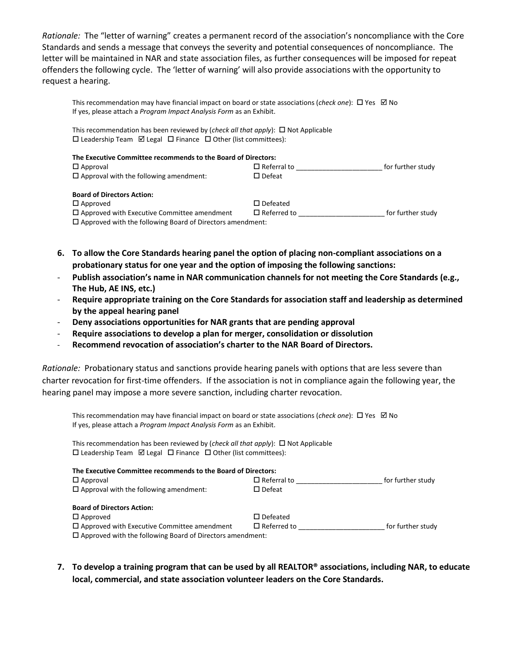*Rationale:* The "letter of warning" creates a permanent record of the association's noncompliance with the Core Standards and sends a message that conveys the severity and potential consequences of noncompliance. The letter will be maintained in NAR and state association files, as further consequences will be imposed for repeat offenders the following cycle. The 'letter of warning' will also provide associations with the opportunity to request a hearing.

This recommendation may have financial impact on board or state associations (*check one*):  $\Box$  Yes  $\Box$  No If yes, please attach a *Program Impact Analysis Form* as an Exhibit.

This recommendation has been reviewed by (*check all that apply*):  $\Box$  Not Applicable  $\square$  Leadership Team  $\square$  Legal  $\square$  Finance  $\square$  Other (list committees):

| The Executive Committee recommends to the Board of Directors:    |                    |                   |
|------------------------------------------------------------------|--------------------|-------------------|
| $\Box$ Approval                                                  | $\Box$ Referral to | for further study |
| $\Box$ Approval with the following amendment:                    | $\square$ Defeat   |                   |
| <b>Board of Directors Action:</b>                                |                    |                   |
| $\Box$ Approved                                                  | $\square$ Defeated |                   |
| $\Box$ Approved with Executive Committee amendment               | $\Box$ Referred to | for further study |
| $\Box$ Approved with the following Board of Directors amendment: |                    |                   |

**6. To allow the Core Standards hearing panel the option of placing non-compliant associations on a probationary status for one year and the option of imposing the following sanctions:**

- Publish association's name in NAR communication channels for not meeting the Core Standards (e.g., **The Hub, AE INS, etc.)**
- **Require appropriate training on the Core Standards for association staff and leadership as determined by the appeal hearing panel**
- **Deny associations opportunities for NAR grants that are pending approval**
- **Require associations to develop a plan for merger, consolidation or dissolution**
- **Recommend revocation of association's charter to the NAR Board of Directors.**

*Rationale:* Probationary status and sanctions provide hearing panels with options that are less severe than charter revocation for first-time offenders. If the association is not in compliance again the following year, the hearing panel may impose a more severe sanction, including charter revocation.

This recommendation may have financial impact on board or state associations (*check one*): □ Yes □ No If yes, please attach a *Program Impact Analysis Form* as an Exhibit.

This recommendation has been reviewed by (*check all that apply*):  $\Box$  Not Applicable  $\square$  Leadership Team  $\square$  Legal  $\square$  Finance  $\square$  Other (list committees):

| The Executive Committee recommends to the Board of Directors:                                                          |                    |                   |
|------------------------------------------------------------------------------------------------------------------------|--------------------|-------------------|
| $\Box$ Approval                                                                                                        | $\Box$ Referral to | for further study |
| $\Box$ Approval with the following amendment:                                                                          | $\square$ Defeat   |                   |
| <b>Board of Directors Action:</b>                                                                                      |                    |                   |
| $\Box$ Approved                                                                                                        | $\square$ Defeated |                   |
| $\Box$ Approved with Executive Committee amendment<br>$\Box$ Approved with the following Board of Directors amendment: | $\Box$ Referred to | for further study |

**7. To develop a training program that can be used by all REALTOR® associations, including NAR, to educate local, commercial, and state association volunteer leaders on the Core Standards.**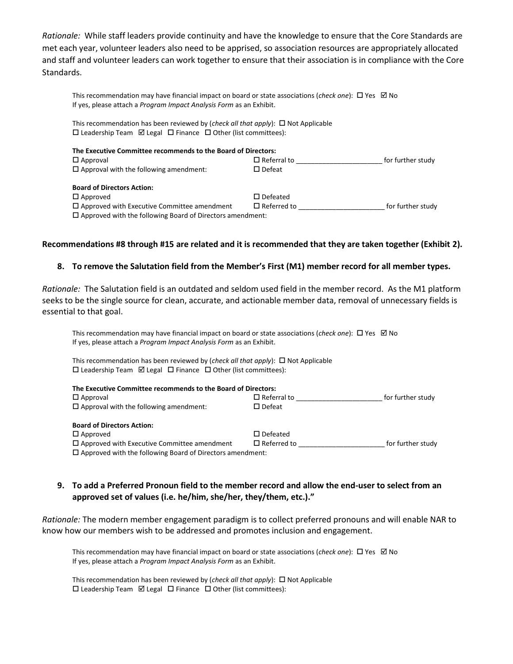*Rationale:* While staff leaders provide continuity and have the knowledge to ensure that the Core Standards are met each year, volunteer leaders also need to be apprised, so association resources are appropriately allocated and staff and volunteer leaders can work together to ensure that their association is in compliance with the Core Standards.

This recommendation may have financial impact on board or state associations (*check one*): □ Yes **Ø No** If yes, please attach a *Program Impact Analysis Form* as an Exhibit.

This recommendation has been reviewed by (*check all that apply*):  $\Box$  Not Applicable  $\square$  Leadership Team  $\square$  Legal  $\square$  Finance  $\square$  Other (list committees):

| The Executive Committee recommends to the Board of Directors:    |                    |                   |
|------------------------------------------------------------------|--------------------|-------------------|
| $\Box$ Approval                                                  | $\Box$ Referral to | for further study |
| $\Box$ Approval with the following amendment:                    | $\square$ Defeat   |                   |
| <b>Board of Directors Action:</b>                                |                    |                   |
| $\square$ Approved                                               | $\square$ Defeated |                   |
| $\Box$ Approved with Executive Committee amendment               | $\Box$ Referred to | for further study |
| $\Box$ Approved with the following Board of Directors amendment: |                    |                   |

#### **Recommendations #8 through #15 are related and it is recommended that they are taken together (Exhibit 2).**

#### **8. To remove the Salutation field from the Member's First (M1) member record for all member types.**

*Rationale:* The Salutation field is an outdated and seldom used field in the member record. As the M1 platform seeks to be the single source for clean, accurate, and actionable member data, removal of unnecessary fields is essential to that goal.

This recommendation may have financial impact on board or state associations (*check one*):  $\Box$  Yes  $\Box$  No If yes, please attach a *Program Impact Analysis Form* as an Exhibit.

This recommendation has been reviewed by (*check all that apply*):  $\Box$  Not Applicable  $\square$  Leadership Team  $\square$  Legal  $\square$  Finance  $\square$  Other (list committees):

| The Executive Committee recommends to the Board of Directors:    |                    |                   |
|------------------------------------------------------------------|--------------------|-------------------|
| $\Box$ Approval                                                  | $\Box$ Referral to | for further study |
| $\Box$ Approval with the following amendment:                    | $\square$ Defeat   |                   |
| <b>Board of Directors Action:</b>                                |                    |                   |
| $\Box$ Approved                                                  | $\square$ Defeated |                   |
| $\Box$ Approved with Executive Committee amendment               | $\Box$ Referred to | for further study |
| $\Box$ Approved with the following Board of Directors amendment: |                    |                   |

## **9. To add a Preferred Pronoun field to the member record and allow the end-user to select from an approved set of values (i.e. he/him, she/her, they/them, etc.)."**

*Rationale:* The modern member engagement paradigm is to collect preferred pronouns and will enable NAR to know how our members wish to be addressed and promotes inclusion and engagement.

This recommendation may have financial impact on board or state associations (*check one*): □ Yes □ No If yes, please attach a *Program Impact Analysis Form* as an Exhibit.

This recommendation has been reviewed by (*check all that apply*):  $\Box$  Not Applicable  $\square$  Leadership Team  $\square$  Legal  $\square$  Finance  $\square$  Other (list committees):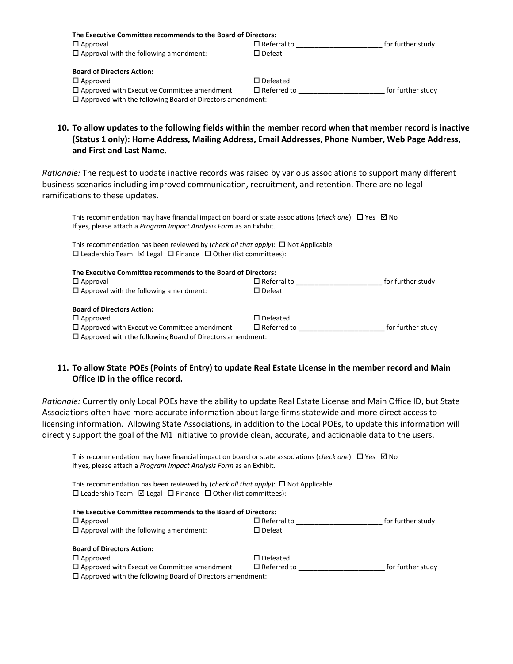| The Executive Committee recommends to the Board of Directors:    |                    |                   |
|------------------------------------------------------------------|--------------------|-------------------|
| $\Box$ Approval                                                  | $\Box$ Referral to | for further study |
| $\Box$ Approval with the following amendment:                    | $\square$ Defeat   |                   |
| <b>Board of Directors Action:</b>                                |                    |                   |
| $\Box$ Approved                                                  | $\square$ Defeated |                   |
| $\Box$ Approved with Executive Committee amendment               | $\Box$ Referred to | for further study |
| $\Box$ Approved with the following Board of Directors amendment: |                    |                   |

**10. To allow updates to the following fields within the member record when that member record is inactive (Status 1 only): Home Address, Mailing Address, Email Addresses, Phone Number, Web Page Address, and First and Last Name.**

*Rationale:* The request to update inactive records was raised by various associations to support many different business scenarios including improved communication, recruitment, and retention. There are no legal ramifications to these updates.

This recommendation may have financial impact on board or state associations (*check one*):  $\Box$  Yes  $\Box$  No If yes, please attach a *Program Impact Analysis Form* as an Exhibit.

This recommendation has been reviewed by (*check all that apply*):  $\Box$  Not Applicable  $\square$  Leadership Team  $\square$  Legal  $\square$  Finance  $\square$  Other (list committees):

| The Executive Committee recommends to the Board of Directors:    |                    |                   |
|------------------------------------------------------------------|--------------------|-------------------|
| $\square$ Approval                                               | $\Box$ Referral to | for further study |
| $\Box$ Approval with the following amendment:                    | $\square$ Defeat   |                   |
| <b>Board of Directors Action:</b>                                |                    |                   |
| $\Box$ Approved                                                  | $\square$ Defeated |                   |
| $\Box$ Approved with Executive Committee amendment               | $\Box$ Referred to | for further study |
| $\Box$ Approved with the following Board of Directors amendment: |                    |                   |

## **11. To allow State POEs (Points of Entry) to update Real Estate License in the member record and Main Office ID in the office record.**

*Rationale:* Currently only Local POEs have the ability to update Real Estate License and Main Office ID, but State Associations often have more accurate information about large firms statewide and more direct access to licensing information. Allowing State Associations, in addition to the Local POEs, to update this information will directly support the goal of the M1 initiative to provide clean, accurate, and actionable data to the users.

This recommendation may have financial impact on board or state associations (*check one*): □ Yes □ No If yes, please attach a *Program Impact Analysis Form* as an Exhibit.

This recommendation has been reviewed by (*check all that apply*):  $\Box$  Not Applicable  $\square$  Leadership Team  $\square$  Legal  $\square$  Finance  $\square$  Other (list committees):

| The Executive Committee recommends to the Board of Directors:    |                    |                   |
|------------------------------------------------------------------|--------------------|-------------------|
| $\Box$ Approval                                                  | $\Box$ Referral to | for further study |
| $\Box$ Approval with the following amendment:                    | $\square$ Defeat   |                   |
| <b>Board of Directors Action:</b>                                |                    |                   |
| $\Box$ Approved                                                  | $\square$ Defeated |                   |
| $\Box$ Approved with Executive Committee amendment               | $\Box$ Referred to | for further study |
| $\Box$ Approved with the following Board of Directors amendment: |                    |                   |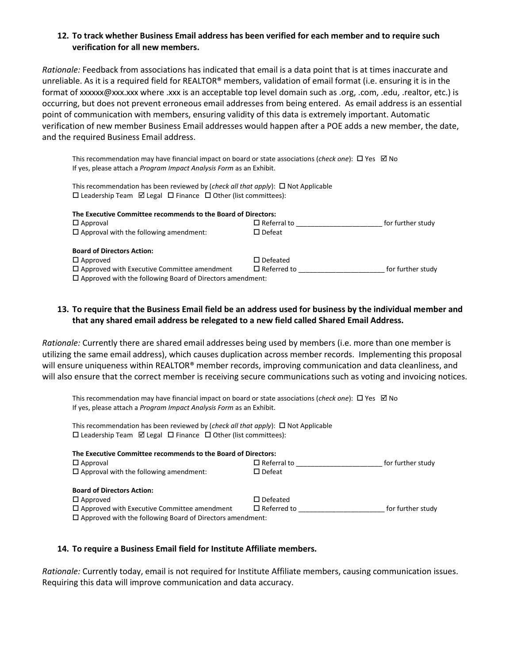## **12. To track whether Business Email address has been verified for each member and to require such verification for all new members.**

*Rationale:* Feedback from associations has indicated that email is a data point that is at times inaccurate and unreliable. As it is a required field for REALTOR® members, validation of email format (i.e. ensuring it is in the format of xxxxxx@xxx.xxx where .xxx is an acceptable top level domain such as .org, .com, .edu, .realtor, etc.) is occurring, but does not prevent erroneous email addresses from being entered. As email address is an essential point of communication with members, ensuring validity of this data is extremely important. Automatic verification of new member Business Email addresses would happen after a POE adds a new member, the date, and the required Business Email address.

This recommendation may have financial impact on board or state associations (*check one*):  $\Box$  Yes  $\Box$  No If yes, please attach a *Program Impact Analysis Form* as an Exhibit.

This recommendation has been reviewed by (*check all that apply*):  $\Box$  Not Applicable  $\square$  Leadership Team  $\ \boxtimes$  Legal  $\ \square$  Finance  $\ \square$  Other (list committees):

| The Executive Committee recommends to the Board of Directors:    |                    |                   |
|------------------------------------------------------------------|--------------------|-------------------|
| $\Box$ Approval                                                  | $\Box$ Referral to | for further study |
| $\Box$ Approval with the following amendment:                    | $\square$ Defeat   |                   |
| <b>Board of Directors Action:</b>                                |                    |                   |
| $\Box$ Approved                                                  | $\square$ Defeated |                   |
| $\Box$ Approved with Executive Committee amendment               | $\Box$ Referred to | for further study |
| $\Box$ Approved with the following Board of Directors amendment: |                    |                   |

## **13. To require that the Business Email field be an address used for business by the individual member and that any shared email address be relegated to a new field called Shared Email Address.**

*Rationale:* Currently there are shared email addresses being used by members (i.e. more than one member is utilizing the same email address), which causes duplication across member records. Implementing this proposal will ensure uniqueness within REALTOR® member records, improving communication and data cleanliness, and will also ensure that the correct member is receiving secure communications such as voting and invoicing notices.

This recommendation may have financial impact on board or state associations (*check one*): □ Yes ⊠ No If yes, please attach a *Program Impact Analysis Form* as an Exhibit.

This recommendation has been reviewed by (*check all that apply*):  $\Box$  Not Applicable  $\square$  Leadership Team  $\square$  Legal  $\square$  Finance  $\square$  Other (list committees):

| The Executive Committee recommends to the Board of Directors:    |                    |                   |  |
|------------------------------------------------------------------|--------------------|-------------------|--|
| $\Box$ Approval                                                  | $\Box$ Referral to | for further study |  |
| $\Box$ Approval with the following amendment:                    | $\square$ Defeat   |                   |  |
| <b>Board of Directors Action:</b>                                |                    |                   |  |
| $\Box$ Approved                                                  | $\square$ Defeated |                   |  |
| $\Box$ Approved with Executive Committee amendment               | $\Box$ Referred to | for further study |  |
| $\Box$ Approved with the following Board of Directors amendment: |                    |                   |  |

#### **14. To require a Business Email field for Institute Affiliate members.**

*Rationale:* Currently today, email is not required for Institute Affiliate members, causing communication issues. Requiring this data will improve communication and data accuracy.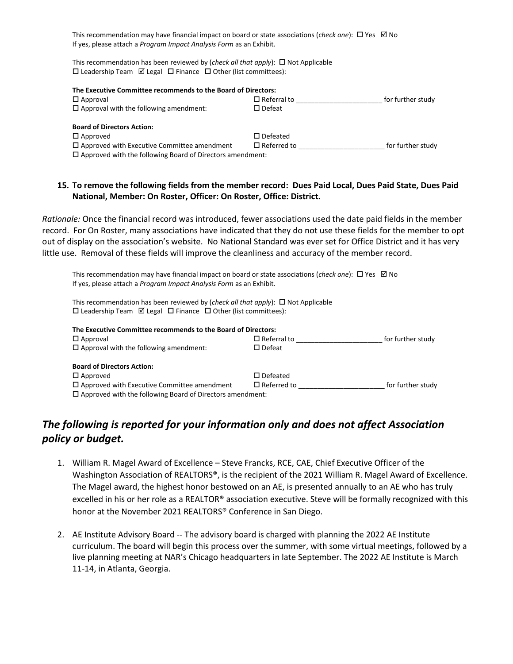This recommendation may have financial impact on board or state associations (*check one*):  $\Box$  Yes  $\Box$  No If yes, please attach a *Program Impact Analysis Form* as an Exhibit.

This recommendation has been reviewed by (*check all that apply*):  $\Box$  Not Applicable  $\square$  Leadership Team  $\square$  Legal  $\square$  Finance  $\square$  Other (list committees):

| The Executive Committee recommends to the Board of Directors:    |                    |                   |  |  |
|------------------------------------------------------------------|--------------------|-------------------|--|--|
| $\Box$ Approval                                                  | $\Box$ Referral to | for further study |  |  |
| $\Box$ Approval with the following amendment:                    | $\square$ Defeat   |                   |  |  |
| <b>Board of Directors Action:</b>                                |                    |                   |  |  |
| $\Box$ Approved                                                  | $\square$ Defeated |                   |  |  |
| $\Box$ Approved with Executive Committee amendment               | $\Box$ Referred to | for further study |  |  |
| $\Box$ Approved with the following Board of Directors amendment: |                    |                   |  |  |

#### **15. To remove the following fields from the member record: Dues Paid Local, Dues Paid State, Dues Paid National, Member: On Roster, Officer: On Roster, Office: District.**

*Rationale:* Once the financial record was introduced, fewer associations used the date paid fields in the member record. For On Roster, many associations have indicated that they do not use these fields for the member to opt out of display on the association's website. No National Standard was ever set for Office District and it has very little use. Removal of these fields will improve the cleanliness and accuracy of the member record.

This recommendation may have financial impact on board or state associations (*check one*):  $\Box$  Yes  $\Box$  No If yes, please attach a *Program Impact Analysis Form* as an Exhibit.

This recommendation has been reviewed by (*check all that apply*):  $\Box$  Not Applicable  $\square$  Leadership Team  $\square$  Legal  $\square$  Finance  $\square$  Other (list committees):

| The Executive Committee recommends to the Board of Directors:    |                    |                   |  |  |
|------------------------------------------------------------------|--------------------|-------------------|--|--|
| $\Box$ Approval                                                  | $\Box$ Referral to | for further study |  |  |
| $\Box$ Approval with the following amendment:                    | $\square$ Defeat   |                   |  |  |
| <b>Board of Directors Action:</b>                                |                    |                   |  |  |
| $\Box$ Approved                                                  | $\square$ Defeated |                   |  |  |
| $\Box$ Approved with Executive Committee amendment               | $\Box$ Referred to | for further study |  |  |
| $\Box$ Approved with the following Board of Directors amendment: |                    |                   |  |  |

# *The following is reported for your information only and does not affect Association policy or budget.*

- 1. William R. Magel Award of Excellence Steve Francks, RCE, CAE, Chief Executive Officer of the Washington Association of REALTORS®, is the recipient of the 2021 William R. Magel Award of Excellence. The Magel award, the highest honor bestowed on an AE, is presented annually to an AE who has truly excelled in his or her role as a REALTOR® association executive. Steve will be formally recognized with this honor at the November 2021 REALTORS® Conference in San Diego.
- 2. AE Institute Advisory Board -- The advisory board is charged with planning the 2022 AE Institute curriculum. The board will begin this process over the summer, with some virtual meetings, followed by a live planning meeting at NAR's Chicago headquarters in late September. The 2022 AE Institute is March 11-14, in Atlanta, Georgia.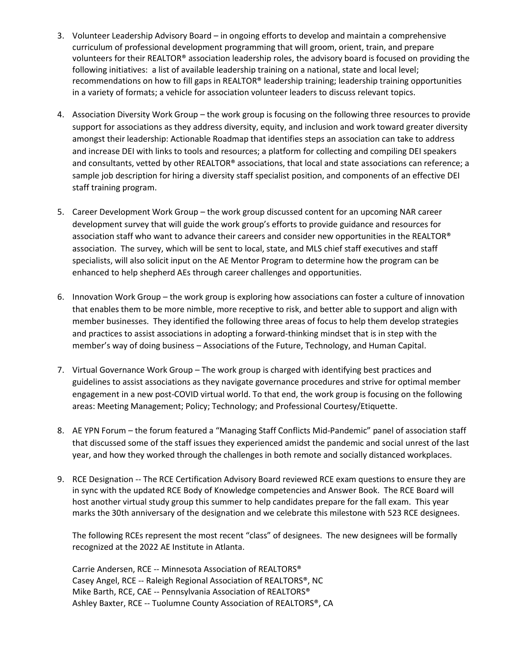- 3. Volunteer Leadership Advisory Board in ongoing efforts to develop and maintain a comprehensive curriculum of professional development programming that will groom, orient, train, and prepare volunteers for their REALTOR® association leadership roles, the advisory board is focused on providing the following initiatives: a list of available leadership training on a national, state and local level; recommendations on how to fill gaps in REALTOR® leadership training; leadership training opportunities in a variety of formats; a vehicle for association volunteer leaders to discuss relevant topics.
- 4. Association Diversity Work Group the work group is focusing on the following three resources to provide support for associations as they address diversity, equity, and inclusion and work toward greater diversity amongst their leadership: Actionable Roadmap that identifies steps an association can take to address and increase DEI with links to tools and resources; a platform for collecting and compiling DEI speakers and consultants, vetted by other REALTOR® associations, that local and state associations can reference; a sample job description for hiring a diversity staff specialist position, and components of an effective DEI staff training program.
- 5. Career Development Work Group the work group discussed content for an upcoming NAR career development survey that will guide the work group's efforts to provide guidance and resources for association staff who want to advance their careers and consider new opportunities in the REALTOR® association. The survey, which will be sent to local, state, and MLS chief staff executives and staff specialists, will also solicit input on the AE Mentor Program to determine how the program can be enhanced to help shepherd AEs through career challenges and opportunities.
- 6. Innovation Work Group the work group is exploring how associations can foster a culture of innovation that enables them to be more nimble, more receptive to risk, and better able to support and align with member businesses. They identified the following three areas of focus to help them develop strategies and practices to assist associations in adopting a forward-thinking mindset that is in step with the member's way of doing business – Associations of the Future, Technology, and Human Capital.
- 7. Virtual Governance Work Group The work group is charged with identifying best practices and guidelines to assist associations as they navigate governance procedures and strive for optimal member engagement in a new post-COVID virtual world. To that end, the work group is focusing on the following areas: Meeting Management; Policy; Technology; and Professional Courtesy/Etiquette.
- 8. AE YPN Forum the forum featured a "Managing Staff Conflicts Mid-Pandemic" panel of association staff that discussed some of the staff issues they experienced amidst the pandemic and social unrest of the last year, and how they worked through the challenges in both remote and socially distanced workplaces.
- 9. RCE Designation -- The RCE Certification Advisory Board reviewed RCE exam questions to ensure they are in sync with the updated RCE Body of Knowledge competencies and Answer Book. The RCE Board will host another virtual study group this summer to help candidates prepare for the fall exam. This year marks the 30th anniversary of the designation and we celebrate this milestone with 523 RCE designees.

The following RCEs represent the most recent "class" of designees. The new designees will be formally recognized at the 2022 AE Institute in Atlanta.

Carrie Andersen, RCE -- Minnesota Association of REALTORS® Casey Angel, RCE -- Raleigh Regional Association of REALTORS®, NC Mike Barth, RCE, CAE -- Pennsylvania Association of REALTORS® Ashley Baxter, RCE -- Tuolumne County Association of REALTORS®, CA